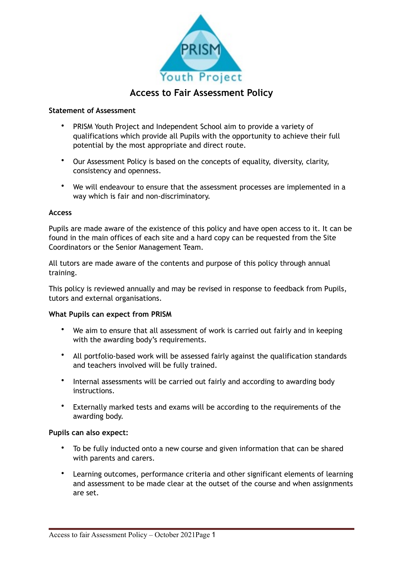

# **Access to Fair Assessment Policy**

#### **Statement of Assessment**

- PRISM Youth Project and Independent School aim to provide a variety of qualifications which provide all Pupils with the opportunity to achieve their full potential by the most appropriate and direct route.
- Our Assessment Policy is based on the concepts of equality, diversity, clarity, consistency and openness.
- We will endeavour to ensure that the assessment processes are implemented in a way which is fair and non-discriminatory.

#### **Access**

Pupils are made aware of the existence of this policy and have open access to it. It can be found in the main offices of each site and a hard copy can be requested from the Site Coordinators or the Senior Management Team.

All tutors are made aware of the contents and purpose of this policy through annual training.

This policy is reviewed annually and may be revised in response to feedback from Pupils, tutors and external organisations.

### **What Pupils can expect from PRISM**

- We aim to ensure that all assessment of work is carried out fairly and in keeping with the awarding body's requirements.
- All portfolio-based work will be assessed fairly against the qualification standards and teachers involved will be fully trained.
- Internal assessments will be carried out fairly and according to awarding body instructions.
- Externally marked tests and exams will be according to the requirements of the awarding body.

#### **Pupils can also expect:**

- To be fully inducted onto a new course and given information that can be shared with parents and carers.
- Learning outcomes, performance criteria and other significant elements of learning and assessment to be made clear at the outset of the course and when assignments are set.